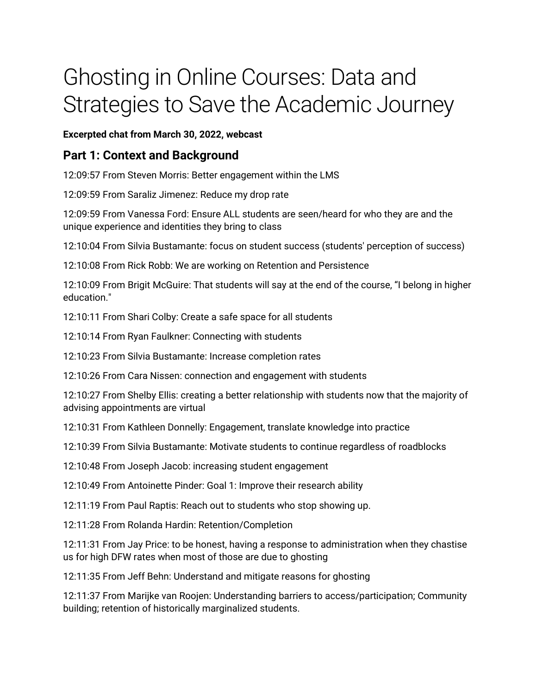## Ghosting in Online Courses: Data and Strategies to Save the Academic Journey

**Excerpted chat from March 30, 2022, webcast**

## **Part 1: Context and Background**

12:09:57 From Steven Morris: Better engagement within the LMS

12:09:59 From Saraliz Jimenez: Reduce my drop rate

12:09:59 From Vanessa Ford: Ensure ALL students are seen/heard for who they are and the unique experience and identities they bring to class

12:10:04 From Silvia Bustamante: focus on student success (students' perception of success)

12:10:08 From Rick Robb: We are working on Retention and Persistence

12:10:09 From Brigit McGuire: That students will say at the end of the course, "I belong in higher education."

12:10:11 From Shari Colby: Create a safe space for all students

12:10:14 From Ryan Faulkner: Connecting with students

12:10:23 From Silvia Bustamante: Increase completion rates

12:10:26 From Cara Nissen: connection and engagement with students

12:10:27 From Shelby Ellis: creating a better relationship with students now that the majority of advising appointments are virtual

12:10:31 From Kathleen Donnelly: Engagement, translate knowledge into practice

12:10:39 From Silvia Bustamante: Motivate students to continue regardless of roadblocks

12:10:48 From Joseph Jacob: increasing student engagement

12:10:49 From Antoinette Pinder: Goal 1: Improve their research ability

12:11:19 From Paul Raptis: Reach out to students who stop showing up.

12:11:28 From Rolanda Hardin: Retention/Completion

12:11:31 From Jay Price: to be honest, having a response to administration when they chastise us for high DFW rates when most of those are due to ghosting

12:11:35 From Jeff Behn: Understand and mitigate reasons for ghosting

12:11:37 From Marijke van Roojen: Understanding barriers to access/participation; Community building; retention of historically marginalized students.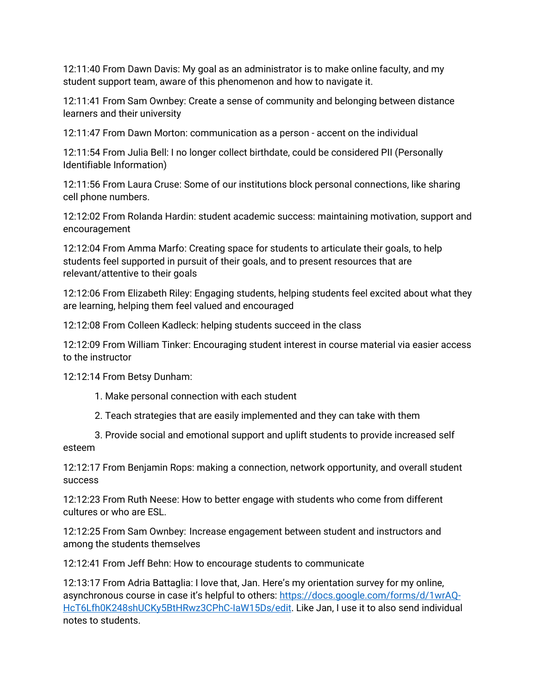12:11:40 From Dawn Davis: My goal as an administrator is to make online faculty, and my student support team, aware of this phenomenon and how to navigate it.

12:11:41 From Sam Ownbey: Create a sense of community and belonging between distance learners and their university

12:11:47 From Dawn Morton: communication as a person - accent on the individual

12:11:54 From Julia Bell: I no longer collect birthdate, could be considered PII (Personally Identifiable Information)

12:11:56 From Laura Cruse: Some of our institutions block personal connections, like sharing cell phone numbers.

12:12:02 From Rolanda Hardin: student academic success: maintaining motivation, support and encouragement

12:12:04 From Amma Marfo: Creating space for students to articulate their goals, to help students feel supported in pursuit of their goals, and to present resources that are relevant/attentive to their goals

12:12:06 From Elizabeth Riley: Engaging students, helping students feel excited about what they are learning, helping them feel valued and encouraged

12:12:08 From Colleen Kadleck: helping students succeed in the class

12:12:09 From William Tinker: Encouraging student interest in course material via easier access to the instructor

12:12:14 From Betsy Dunham:

- 1. Make personal connection with each student
- 2. Teach strategies that are easily implemented and they can take with them

3. Provide social and emotional support and uplift students to provide increased self esteem

12:12:17 From Benjamin Rops: making a connection, network opportunity, and overall student success

12:12:23 From Ruth Neese: How to better engage with students who come from different cultures or who are ESL.

12:12:25 From Sam Ownbey: Increase engagement between student and instructors and among the students themselves

12:12:41 From Jeff Behn: How to encourage students to communicate

12:13:17 From Adria Battaglia: I love that, Jan. Here's my orientation survey for my online, asynchronous course in case it's helpful to others: [https://docs.google.com/forms/d/1wrAQ-](https://docs.google.com/forms/d/1wrAQ-HcT6Lfh0K248shUCKy5BtHRwz3CPhC-IaW15Ds/edit)[HcT6Lfh0K248shUCKy5BtHRwz3CPhC-IaW15Ds/edit.](https://docs.google.com/forms/d/1wrAQ-HcT6Lfh0K248shUCKy5BtHRwz3CPhC-IaW15Ds/edit) Like Jan, I use it to also send individual notes to students.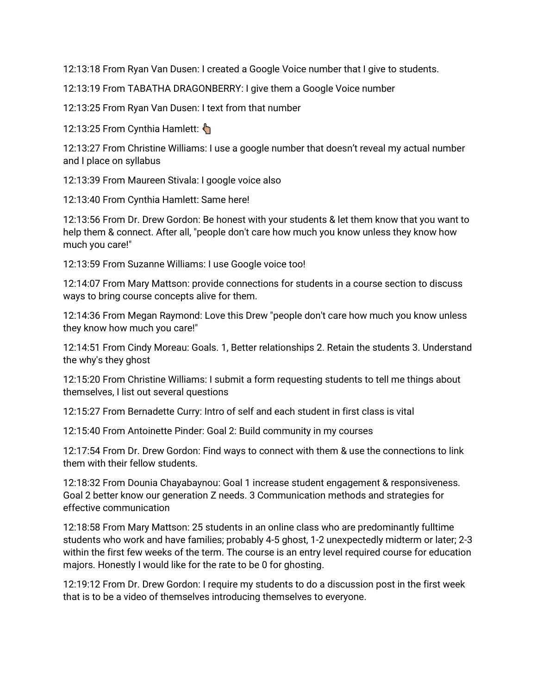12:13:18 From Ryan Van Dusen: I created a Google Voice number that I give to students.

12:13:19 From TABATHA DRAGONBERRY: I give them a Google Voice number

12:13:25 From Ryan Van Dusen: I text from that number

12:13:25 From Cynthia Hamlett:

12:13:27 From Christine Williams: I use a google number that doesn't reveal my actual number and I place on syllabus

12:13:39 From Maureen Stivala: I google voice also

12:13:40 From Cynthia Hamlett: Same here!

12:13:56 From Dr. Drew Gordon: Be honest with your students & let them know that you want to help them & connect. After all, "people don't care how much you know unless they know how much you care!"

12:13:59 From Suzanne Williams: I use Google voice too!

12:14:07 From Mary Mattson: provide connections for students in a course section to discuss ways to bring course concepts alive for them.

12:14:36 From Megan Raymond: Love this Drew "people don't care how much you know unless they know how much you care!"

12:14:51 From Cindy Moreau: Goals. 1, Better relationships 2. Retain the students 3. Understand the why's they ghost

12:15:20 From Christine Williams: I submit a form requesting students to tell me things about themselves, I list out several questions

12:15:27 From Bernadette Curry: Intro of self and each student in first class is vital

12:15:40 From Antoinette Pinder: Goal 2: Build community in my courses

12:17:54 From Dr. Drew Gordon: Find ways to connect with them & use the connections to link them with their fellow students.

12:18:32 From Dounia Chayabaynou: Goal 1 increase student engagement & responsiveness. Goal 2 better know our generation Z needs. 3 Communication methods and strategies for effective communication

12:18:58 From Mary Mattson: 25 students in an online class who are predominantly fulltime students who work and have families; probably 4-5 ghost, 1-2 unexpectedly midterm or later; 2-3 within the first few weeks of the term. The course is an entry level required course for education majors. Honestly I would like for the rate to be 0 for ghosting.

12:19:12 From Dr. Drew Gordon: I require my students to do a discussion post in the first week that is to be a video of themselves introducing themselves to everyone.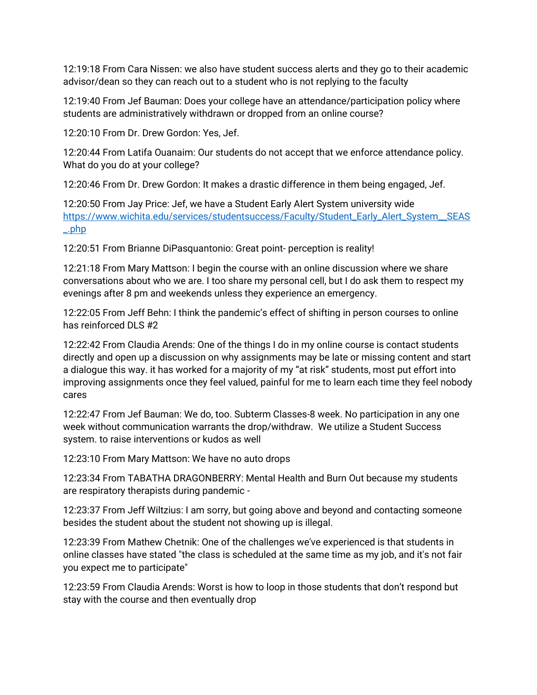12:19:18 From Cara Nissen: we also have student success alerts and they go to their academic advisor/dean so they can reach out to a student who is not replying to the faculty

12:19:40 From Jef Bauman: Does your college have an attendance/participation policy where students are administratively withdrawn or dropped from an online course?

12:20:10 From Dr. Drew Gordon: Yes, Jef.

12:20:44 From Latifa Ouanaim: Our students do not accept that we enforce attendance policy. What do you do at your college?

12:20:46 From Dr. Drew Gordon: It makes a drastic difference in them being engaged, Jef.

12:20:50 From Jay Price: Jef, we have a Student Early Alert System university wide [https://www.wichita.edu/services/studentsuccess/Faculty/Student\\_Early\\_Alert\\_System\\_\\_SEAS](https://www.wichita.edu/services/studentsuccess/Faculty/Student_Early_Alert_System__SEAS_.php) [\\_.php](https://www.wichita.edu/services/studentsuccess/Faculty/Student_Early_Alert_System__SEAS_.php)

12:20:51 From Brianne DiPasquantonio: Great point- perception is reality!

12:21:18 From Mary Mattson: I begin the course with an online discussion where we share conversations about who we are. I too share my personal cell, but I do ask them to respect my evenings after 8 pm and weekends unless they experience an emergency.

12:22:05 From Jeff Behn: I think the pandemic's effect of shifting in person courses to online has reinforced DLS #2

12:22:42 From Claudia Arends: One of the things I do in my online course is contact students directly and open up a discussion on why assignments may be late or missing content and start a dialogue this way. it has worked for a majority of my "at risk" students, most put effort into improving assignments once they feel valued, painful for me to learn each time they feel nobody cares

12:22:47 From Jef Bauman: We do, too. Subterm Classes-8 week. No participation in any one week without communication warrants the drop/withdraw. We utilize a Student Success system. to raise interventions or kudos as well

12:23:10 From Mary Mattson: We have no auto drops

12:23:34 From TABATHA DRAGONBERRY: Mental Health and Burn Out because my students are respiratory therapists during pandemic -

12:23:37 From Jeff Wiltzius: I am sorry, but going above and beyond and contacting someone besides the student about the student not showing up is illegal.

12:23:39 From Mathew Chetnik: One of the challenges we've experienced is that students in online classes have stated "the class is scheduled at the same time as my job, and it's not fair you expect me to participate"

12:23:59 From Claudia Arends: Worst is how to loop in those students that don't respond but stay with the course and then eventually drop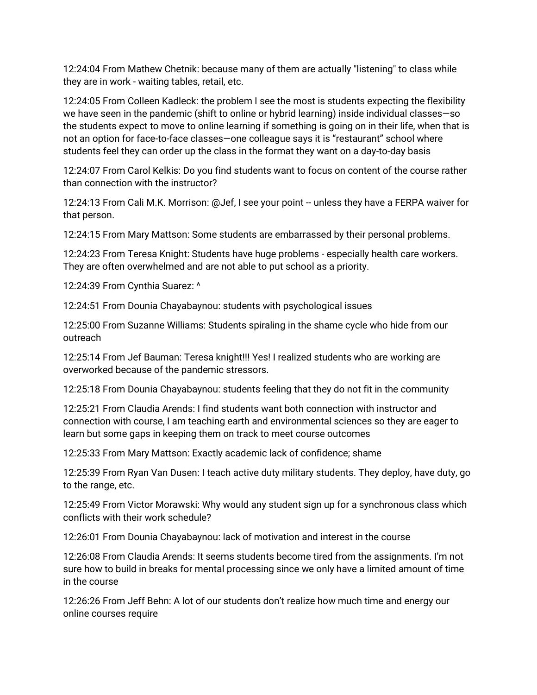12:24:04 From Mathew Chetnik: because many of them are actually "listening" to class while they are in work - waiting tables, retail, etc.

12:24:05 From Colleen Kadleck: the problem I see the most is students expecting the flexibility we have seen in the pandemic (shift to online or hybrid learning) inside individual classes—so the students expect to move to online learning if something is going on in their life, when that is not an option for face-to-face classes—one colleague says it is "restaurant" school where students feel they can order up the class in the format they want on a day-to-day basis

12:24:07 From Carol Kelkis: Do you find students want to focus on content of the course rather than connection with the instructor?

12:24:13 From Cali M.K. Morrison: @Jef, I see your point -- unless they have a FERPA waiver for that person.

12:24:15 From Mary Mattson: Some students are embarrassed by their personal problems.

12:24:23 From Teresa Knight: Students have huge problems - especially health care workers. They are often overwhelmed and are not able to put school as a priority.

12:24:39 From Cynthia Suarez: ^

12:24:51 From Dounia Chayabaynou: students with psychological issues

12:25:00 From Suzanne Williams: Students spiraling in the shame cycle who hide from our outreach

12:25:14 From Jef Bauman: Teresa knight!!! Yes! I realized students who are working are overworked because of the pandemic stressors.

12:25:18 From Dounia Chayabaynou: students feeling that they do not fit in the community

12:25:21 From Claudia Arends: I find students want both connection with instructor and connection with course, I am teaching earth and environmental sciences so they are eager to learn but some gaps in keeping them on track to meet course outcomes

12:25:33 From Mary Mattson: Exactly academic lack of confidence; shame

12:25:39 From Ryan Van Dusen: I teach active duty military students. They deploy, have duty, go to the range, etc.

12:25:49 From Victor Morawski: Why would any student sign up for a synchronous class which conflicts with their work schedule?

12:26:01 From Dounia Chayabaynou: lack of motivation and interest in the course

12:26:08 From Claudia Arends: It seems students become tired from the assignments. I'm not sure how to build in breaks for mental processing since we only have a limited amount of time in the course

12:26:26 From Jeff Behn: A lot of our students don't realize how much time and energy our online courses require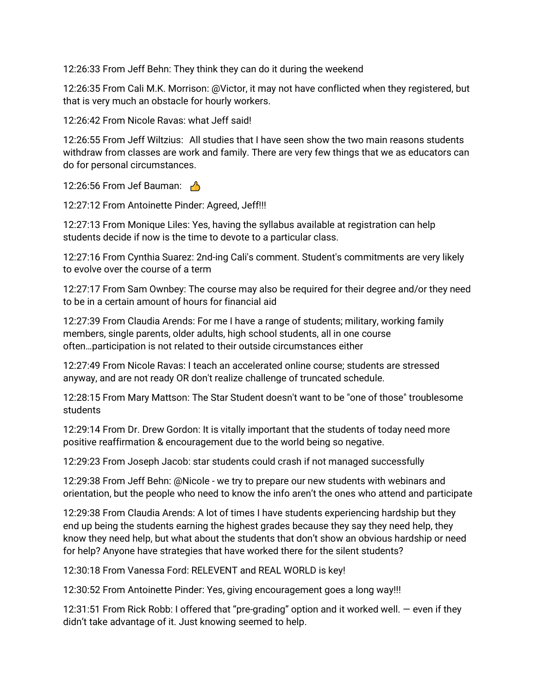12:26:33 From Jeff Behn: They think they can do it during the weekend

12:26:35 From Cali M.K. Morrison: @Victor, it may not have conflicted when they registered, but that is very much an obstacle for hourly workers.

12:26:42 From Nicole Ravas: what Jeff said!

12:26:55 From Jeff Wiltzius: All studies that I have seen show the two main reasons students withdraw from classes are work and family. There are very few things that we as educators can do for personal circumstances.

12:26:56 From Jef Bauman:  $\frac{1}{10}$ 

12:27:12 From Antoinette Pinder: Agreed, Jeff!!!

12:27:13 From Monique Liles: Yes, having the syllabus available at registration can help students decide if now is the time to devote to a particular class.

12:27:16 From Cynthia Suarez: 2nd-ing Cali's comment. Student's commitments are very likely to evolve over the course of a term

12:27:17 From Sam Ownbey: The course may also be required for their degree and/or they need to be in a certain amount of hours for financial aid

12:27:39 From Claudia Arends: For me I have a range of students; military, working family members, single parents, older adults, high school students, all in one course often…participation is not related to their outside circumstances either

12:27:49 From Nicole Ravas: I teach an accelerated online course; students are stressed anyway, and are not ready OR don't realize challenge of truncated schedule.

12:28:15 From Mary Mattson: The Star Student doesn't want to be "one of those" troublesome students

12:29:14 From Dr. Drew Gordon: It is vitally important that the students of today need more positive reaffirmation & encouragement due to the world being so negative.

12:29:23 From Joseph Jacob: star students could crash if not managed successfully

12:29:38 From Jeff Behn: @Nicole - we try to prepare our new students with webinars and orientation, but the people who need to know the info aren't the ones who attend and participate

12:29:38 From Claudia Arends: A lot of times I have students experiencing hardship but they end up being the students earning the highest grades because they say they need help, they know they need help, but what about the students that don't show an obvious hardship or need for help? Anyone have strategies that have worked there for the silent students?

12:30:18 From Vanessa Ford: RELEVENT and REAL WORLD is key!

12:30:52 From Antoinette Pinder: Yes, giving encouragement goes a long way!!!

12:31:51 From Rick Robb: I offered that "pre-grading" option and it worked well. — even if they didn't take advantage of it. Just knowing seemed to help.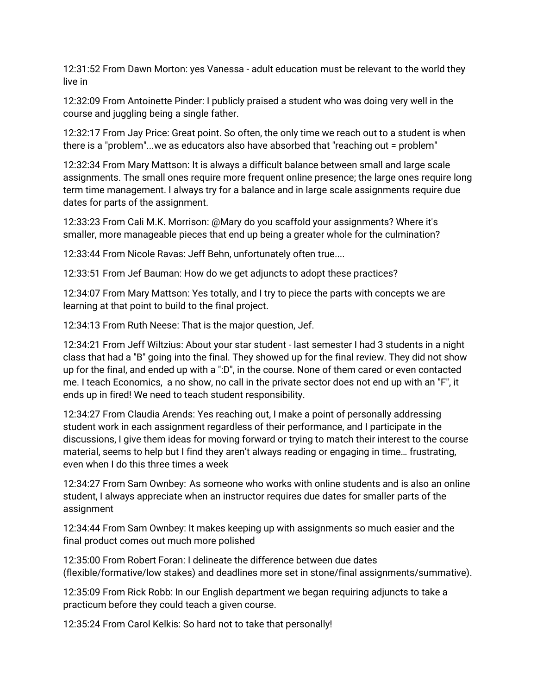12:31:52 From Dawn Morton: yes Vanessa - adult education must be relevant to the world they live in

12:32:09 From Antoinette Pinder: I publicly praised a student who was doing very well in the course and juggling being a single father.

12:32:17 From Jay Price: Great point. So often, the only time we reach out to a student is when there is a "problem"...we as educators also have absorbed that "reaching out = problem"

12:32:34 From Mary Mattson: It is always a difficult balance between small and large scale assignments. The small ones require more frequent online presence; the large ones require long term time management. I always try for a balance and in large scale assignments require due dates for parts of the assignment.

12:33:23 From Cali M.K. Morrison: @Mary do you scaffold your assignments? Where it's smaller, more manageable pieces that end up being a greater whole for the culmination?

12:33:44 From Nicole Ravas: Jeff Behn, unfortunately often true....

12:33:51 From Jef Bauman: How do we get adjuncts to adopt these practices?

12:34:07 From Mary Mattson: Yes totally, and I try to piece the parts with concepts we are learning at that point to build to the final project.

12:34:13 From Ruth Neese: That is the major question, Jef.

12:34:21 From Jeff Wiltzius: About your star student - last semester I had 3 students in a night class that had a "B" going into the final. They showed up for the final review. They did not show up for the final, and ended up with a ":D", in the course. None of them cared or even contacted me. I teach Economics, a no show, no call in the private sector does not end up with an "F", it ends up in fired! We need to teach student responsibility.

12:34:27 From Claudia Arends: Yes reaching out, I make a point of personally addressing student work in each assignment regardless of their performance, and I participate in the discussions, I give them ideas for moving forward or trying to match their interest to the course material, seems to help but I find they aren't always reading or engaging in time… frustrating, even when I do this three times a week

12:34:27 From Sam Ownbey: As someone who works with online students and is also an online student, I always appreciate when an instructor requires due dates for smaller parts of the assignment

12:34:44 From Sam Ownbey: It makes keeping up with assignments so much easier and the final product comes out much more polished

12:35:00 From Robert Foran: I delineate the difference between due dates (flexible/formative/low stakes) and deadlines more set in stone/final assignments/summative).

12:35:09 From Rick Robb: In our English department we began requiring adjuncts to take a practicum before they could teach a given course.

12:35:24 From Carol Kelkis: So hard not to take that personally!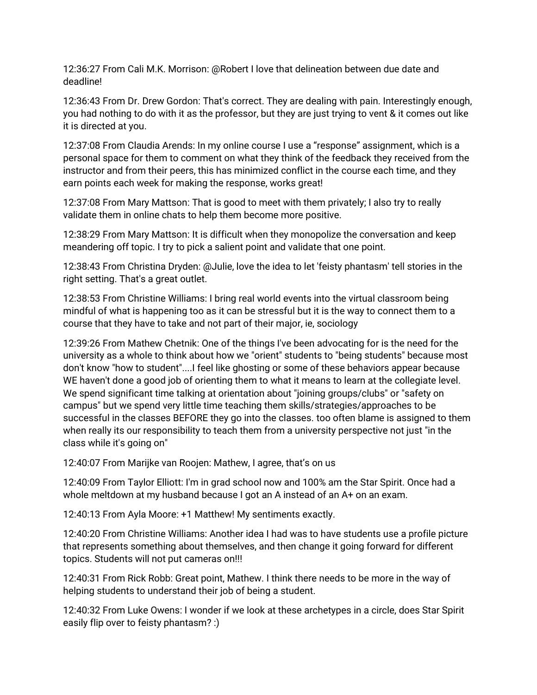12:36:27 From Cali M.K. Morrison: @Robert I love that delineation between due date and deadline!

12:36:43 From Dr. Drew Gordon: That's correct. They are dealing with pain. Interestingly enough, you had nothing to do with it as the professor, but they are just trying to vent & it comes out like it is directed at you.

12:37:08 From Claudia Arends: In my online course I use a "response" assignment, which is a personal space for them to comment on what they think of the feedback they received from the instructor and from their peers, this has minimized conflict in the course each time, and they earn points each week for making the response, works great!

12:37:08 From Mary Mattson: That is good to meet with them privately; I also try to really validate them in online chats to help them become more positive.

12:38:29 From Mary Mattson: It is difficult when they monopolize the conversation and keep meandering off topic. I try to pick a salient point and validate that one point.

12:38:43 From Christina Dryden: @Julie, love the idea to let 'feisty phantasm' tell stories in the right setting. That's a great outlet.

12:38:53 From Christine Williams: I bring real world events into the virtual classroom being mindful of what is happening too as it can be stressful but it is the way to connect them to a course that they have to take and not part of their major, ie, sociology

12:39:26 From Mathew Chetnik: One of the things I've been advocating for is the need for the university as a whole to think about how we "orient" students to "being students" because most don't know "how to student"....I feel like ghosting or some of these behaviors appear because WE haven't done a good job of orienting them to what it means to learn at the collegiate level. We spend significant time talking at orientation about "joining groups/clubs" or "safety on campus" but we spend very little time teaching them skills/strategies/approaches to be successful in the classes BEFORE they go into the classes. too often blame is assigned to them when really its our responsibility to teach them from a university perspective not just "in the class while it's going on"

12:40:07 From Marijke van Roojen: Mathew, I agree, that's on us

12:40:09 From Taylor Elliott: I'm in grad school now and 100% am the Star Spirit. Once had a whole meltdown at my husband because I got an A instead of an A+ on an exam.

12:40:13 From Ayla Moore: +1 Matthew! My sentiments exactly.

12:40:20 From Christine Williams: Another idea I had was to have students use a profile picture that represents something about themselves, and then change it going forward for different topics. Students will not put cameras on!!!

12:40:31 From Rick Robb: Great point, Mathew. I think there needs to be more in the way of helping students to understand their job of being a student.

12:40:32 From Luke Owens: I wonder if we look at these archetypes in a circle, does Star Spirit easily flip over to feisty phantasm? :)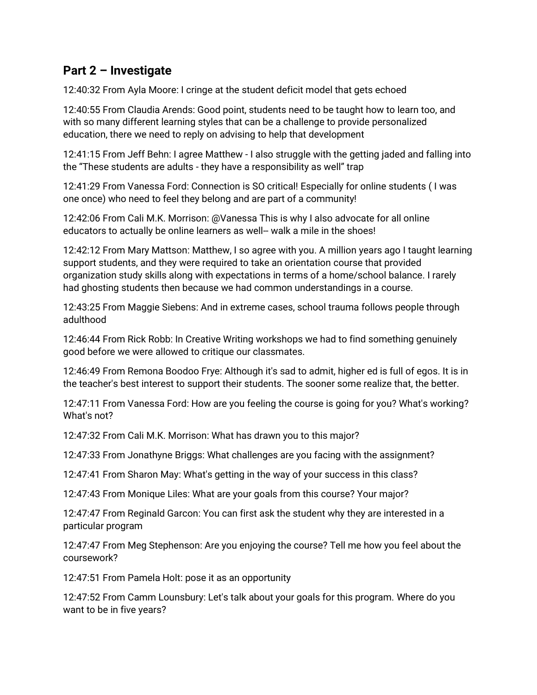## **Part 2 – Investigate**

12:40:32 From Ayla Moore: I cringe at the student deficit model that gets echoed

12:40:55 From Claudia Arends: Good point, students need to be taught how to learn too, and with so many different learning styles that can be a challenge to provide personalized education, there we need to reply on advising to help that development

12:41:15 From Jeff Behn: I agree Matthew - I also struggle with the getting jaded and falling into the "These students are adults - they have a responsibility as well" trap

12:41:29 From Vanessa Ford: Connection is SO critical! Especially for online students ( I was one once) who need to feel they belong and are part of a community!

12:42:06 From Cali M.K. Morrison: @Vanessa This is why I also advocate for all online educators to actually be online learners as well-- walk a mile in the shoes!

12:42:12 From Mary Mattson: Matthew, I so agree with you. A million years ago I taught learning support students, and they were required to take an orientation course that provided organization study skills along with expectations in terms of a home/school balance. I rarely had ghosting students then because we had common understandings in a course.

12:43:25 From Maggie Siebens: And in extreme cases, school trauma follows people through adulthood

12:46:44 From Rick Robb: In Creative Writing workshops we had to find something genuinely good before we were allowed to critique our classmates.

12:46:49 From Remona Boodoo Frye: Although it's sad to admit, higher ed is full of egos. It is in the teacher's best interest to support their students. The sooner some realize that, the better.

12:47:11 From Vanessa Ford: How are you feeling the course is going for you? What's working? What's not?

12:47:32 From Cali M.K. Morrison: What has drawn you to this major?

12:47:33 From Jonathyne Briggs: What challenges are you facing with the assignment?

12:47:41 From Sharon May: What's getting in the way of your success in this class?

12:47:43 From Monique Liles: What are your goals from this course? Your major?

12:47:47 From Reginald Garcon: You can first ask the student why they are interested in a particular program

12:47:47 From Meg Stephenson: Are you enjoying the course? Tell me how you feel about the coursework?

12:47:51 From Pamela Holt: pose it as an opportunity

12:47:52 From Camm Lounsbury: Let's talk about your goals for this program. Where do you want to be in five years?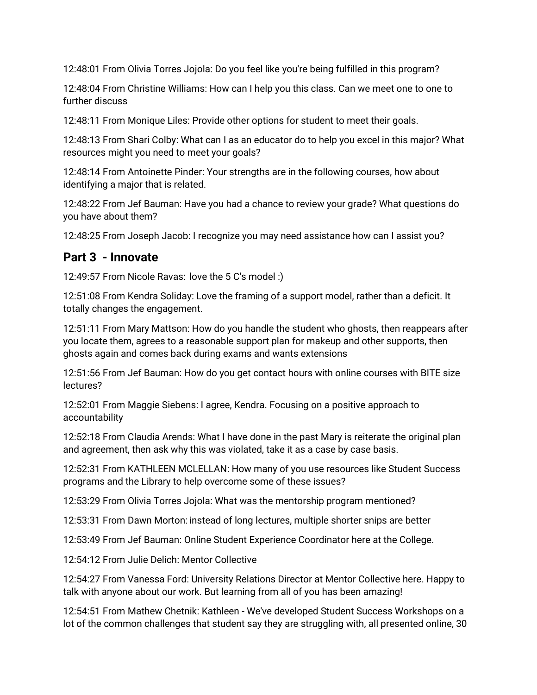12:48:01 From Olivia Torres Jojola: Do you feel like you're being fulfilled in this program?

12:48:04 From Christine Williams: How can I help you this class. Can we meet one to one to further discuss

12:48:11 From Monique Liles: Provide other options for student to meet their goals.

12:48:13 From Shari Colby: What can I as an educator do to help you excel in this major? What resources might you need to meet your goals?

12:48:14 From Antoinette Pinder: Your strengths are in the following courses, how about identifying a major that is related.

12:48:22 From Jef Bauman: Have you had a chance to review your grade? What questions do you have about them?

12:48:25 From Joseph Jacob: I recognize you may need assistance how can I assist you?

## **Part 3 - Innovate**

12:49:57 From Nicole Ravas: love the 5 C's model :)

12:51:08 From Kendra Soliday: Love the framing of a support model, rather than a deficit. It totally changes the engagement.

12:51:11 From Mary Mattson: How do you handle the student who ghosts, then reappears after you locate them, agrees to a reasonable support plan for makeup and other supports, then ghosts again and comes back during exams and wants extensions

12:51:56 From Jef Bauman: How do you get contact hours with online courses with BITE size lectures?

12:52:01 From Maggie Siebens: I agree, Kendra. Focusing on a positive approach to accountability

12:52:18 From Claudia Arends: What I have done in the past Mary is reiterate the original plan and agreement, then ask why this was violated, take it as a case by case basis.

12:52:31 From KATHLEEN MCLELLAN: How many of you use resources like Student Success programs and the Library to help overcome some of these issues?

12:53:29 From Olivia Torres Jojola: What was the mentorship program mentioned?

12:53:31 From Dawn Morton: instead of long lectures, multiple shorter snips are better

12:53:49 From Jef Bauman: Online Student Experience Coordinator here at the College.

12:54:12 From Julie Delich: Mentor Collective

12:54:27 From Vanessa Ford: University Relations Director at Mentor Collective here. Happy to talk with anyone about our work. But learning from all of you has been amazing!

12:54:51 From Mathew Chetnik: Kathleen - We've developed Student Success Workshops on a lot of the common challenges that student say they are struggling with, all presented online, 30